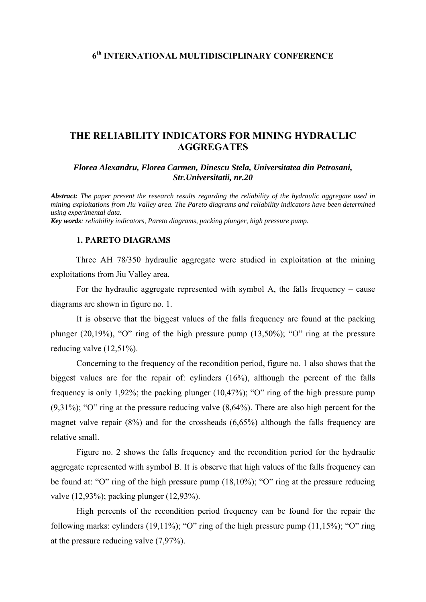### **6th INTERNATIONAL MULTIDISCIPLINARY CONFERENCE**

## **THE RELIABILITY INDICATORS FOR MINING HYDRAULIC AGGREGATES**

*Florea Alexandru, Florea Carmen, Dinescu Stela, Universitatea din Petrosani, Str.Universitatii, nr.20* 

*Abstract: The paper present the research results regarding the reliability of the hydraulic aggregate used in mining exploitations from Jiu Valley area. The Pareto diagrams and reliability indicators have been determined using experimental data. Key words: reliability indicators, Pareto diagrams, packing plunger, high pressure pump.*

#### **1. PARETO DIAGRAMS**

Three AH 78/350 hydraulic aggregate were studied in exploitation at the mining exploitations from Jiu Valley area.

 For the hydraulic aggregate represented with symbol A, the falls frequency – cause diagrams are shown in figure no. 1.

 It is observe that the biggest values of the falls frequency are found at the packing plunger (20,19%), "O" ring of the high pressure pump (13,50%); "O" ring at the pressure reducing valve  $(12,51\%)$ .

 Concerning to the frequency of the recondition period, figure no. 1 also shows that the biggest values are for the repair of: cylinders (16%), although the percent of the falls frequency is only 1,92%; the packing plunger (10,47%); "O" ring of the high pressure pump (9,31%); "O" ring at the pressure reducing valve (8,64%). There are also high percent for the magnet valve repair (8%) and for the crossheads (6,65%) although the falls frequency are relative small.

 Figure no. 2 shows the falls frequency and the recondition period for the hydraulic aggregate represented with symbol B. It is observe that high values of the falls frequency can be found at: "O" ring of the high pressure pump (18,10%); "O" ring at the pressure reducing valve (12,93%); packing plunger (12,93%).

 High percents of the recondition period frequency can be found for the repair the following marks: cylinders (19,11%); "O" ring of the high pressure pump (11,15%); "O" ring at the pressure reducing valve (7,97%).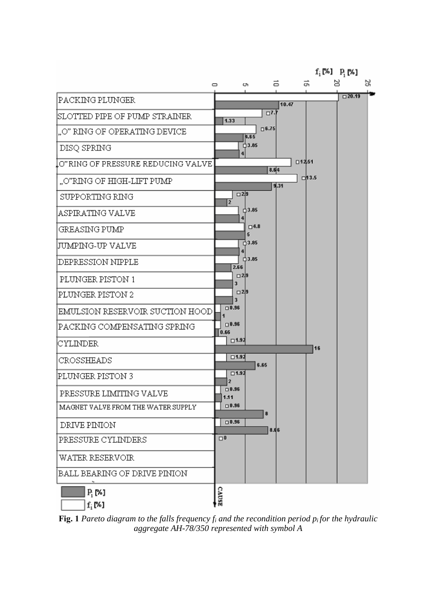

**Fig. 1** *Pareto diagram to the falls frequency*  $f_i$  *and the recondition period*  $p_i$  *for the hydraulic aggregate AH-78/350 represented with symbol A*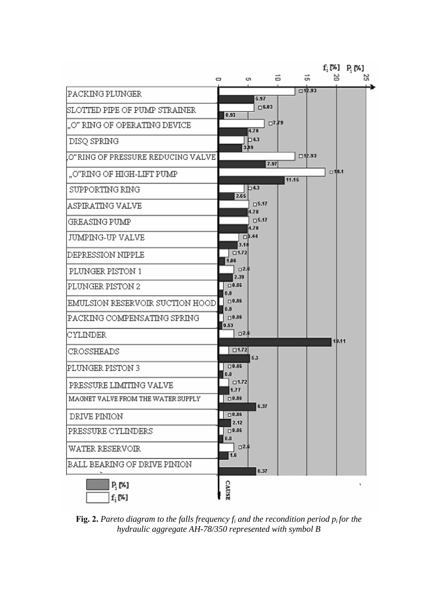

**Fig. 2.** Pareto diagram to the falls frequency  $f_i$  and the recondition period  $p_i$  for the *hydraulic aggregate AH-78/350 represented with symbol B*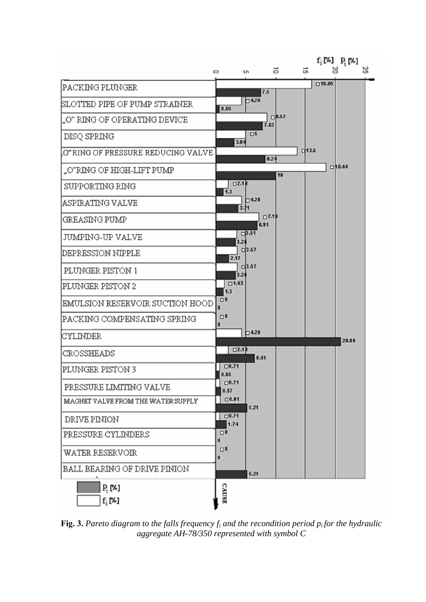

**Fig. 3.** *Pareto diagram to the falls frequency fi and the recondition period pi for the hydraulic aggregate AH-78/350 represented with symbol C*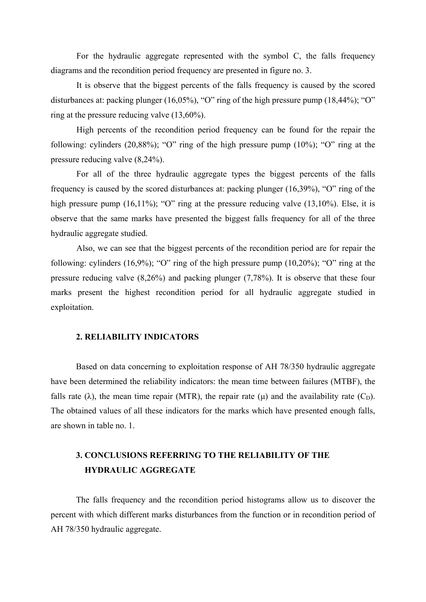For the hydraulic aggregate represented with the symbol C, the falls frequency diagrams and the recondition period frequency are presented in figure no. 3.

 It is observe that the biggest percents of the falls frequency is caused by the scored disturbances at: packing plunger (16,05%), "O" ring of the high pressure pump (18,44%); "O" ring at the pressure reducing valve (13,60%).

 High percents of the recondition period frequency can be found for the repair the following: cylinders (20,88%); "O" ring of the high pressure pump (10%); "O" ring at the pressure reducing valve (8,24%).

For all of the three hydraulic aggregate types the biggest percents of the falls frequency is caused by the scored disturbances at: packing plunger (16,39%), "O" ring of the high pressure pump (16,11%); "O" ring at the pressure reducing valve (13,10%). Else, it is observe that the same marks have presented the biggest falls frequency for all of the three hydraulic aggregate studied.

 Also, we can see that the biggest percents of the recondition period are for repair the following: cylinders  $(16,9\%)$ ; "O" ring of the high pressure pump  $(10,20\%)$ ; "O" ring at the pressure reducing valve (8,26%) and packing plunger (7,78%). It is observe that these four marks present the highest recondition period for all hydraulic aggregate studied in exploitation.

#### **2. RELIABILITY INDICATORS**

Based on data concerning to exploitation response of AH 78/350 hydraulic aggregate have been determined the reliability indicators: the mean time between failures (MTBF), the falls rate ( $\lambda$ ), the mean time repair (MTR), the repair rate ( $\mu$ ) and the availability rate ( $C_D$ ). The obtained values of all these indicators for the marks which have presented enough falls, are shown in table no. 1.

# **3. CONCLUSIONS REFERRING TO THE RELIABILITY OF THE HYDRAULIC AGGREGATE**

The falls frequency and the recondition period histograms allow us to discover the percent with which different marks disturbances from the function or in recondition period of AH 78/350 hydraulic aggregate.